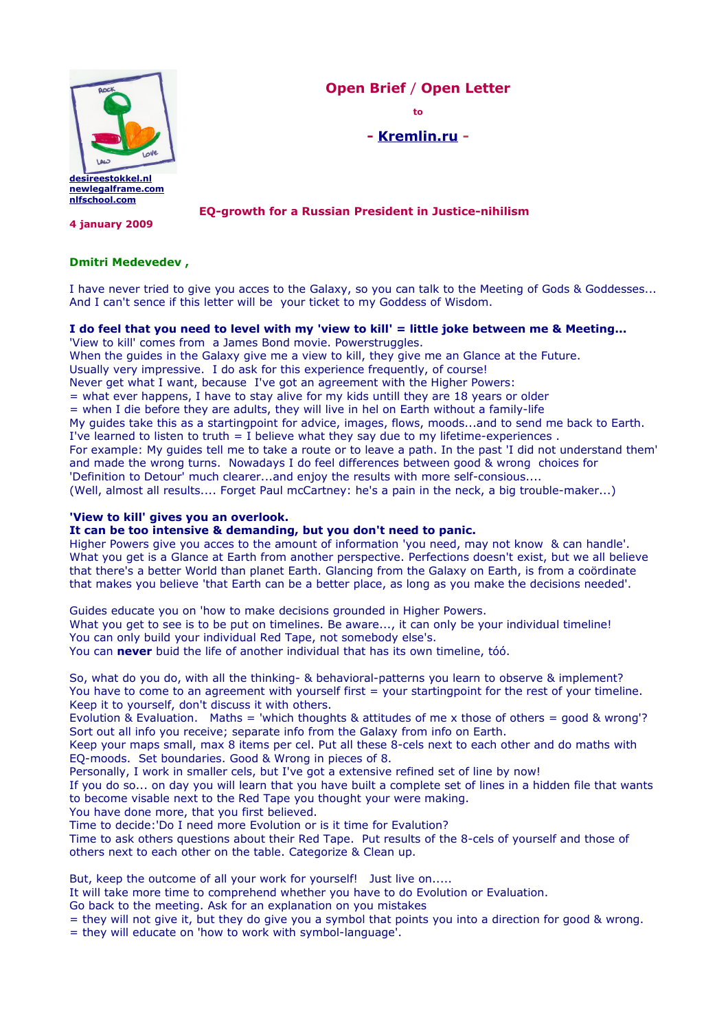

**Open Brief** / **Open Letter**

**to**

# **- [Kremlin.ru](http://www.kremlin.ru/eng/) -**

**EQ-growth for a Russian President in Justice-nihilism**

**4 january 2009**

## **Dmitri Medevedev ,**

I have never tried to give you acces to the Galaxy, so you can talk to the Meeting of Gods & Goddesses... And I can't sence if this letter will be your ticket to my Goddess of Wisdom.

#### **I do feel that you need to level with my 'view to kill' = little joke between me & Meeting...**

'View to kill' comes from a James Bond movie. Powerstruggles.

When the guides in the Galaxy give me a view to kill, they give me an Glance at the Future.

Usually very impressive. I do ask for this experience frequently, of course!

Never get what I want, because I've got an agreement with the Higher Powers:

 $=$  what ever happens, I have to stay alive for my kids untill they are 18 years or older

= when I die before they are adults, they will live in hel on Earth without a family-life

My guides take this as a startingpoint for advice, images, flows, moods...and to send me back to Earth.

I've learned to listen to truth  $=$  I believe what they say due to my lifetime-experiences.

For example: My guides tell me to take a route or to leave a path. In the past 'I did not understand them' and made the wrong turns. Nowadays I do feel differences between good & wrong choices for 'Definition to Detour' much clearer...and enjoy the results with more self-consious....

(Well, almost all results.... Forget Paul mcCartney: he's a pain in the neck, a big trouble-maker...)

# **'View to kill' gives you an overlook.**

## **It can be too intensive & demanding, but you don't need to panic.**

Higher Powers give you acces to the amount of information 'you need, may not know & can handle'. What you get is a Glance at Earth from another perspective. Perfections doesn't exist, but we all believe that there's a better World than planet Earth. Glancing from the Galaxy on Earth, is from a coördinate that makes you believe 'that Earth can be a better place, as long as you make the decisions needed'.

Guides educate you on 'how to make decisions grounded in Higher Powers. What you get to see is to be put on timelines. Be aware..., it can only be your individual timeline! You can only build your individual Red Tape, not somebody else's. You can **never** buid the life of another individual that has its own timeline, tóó.

So, what do you do, with all the thinking- & behavioral-patterns you learn to observe & implement? You have to come to an agreement with yourself first = your startingpoint for the rest of your timeline. Keep it to yourself, don't discuss it with others.

Evolution & Evaluation. Maths = 'which thoughts & attitudes of me x those of others = good & wrong'? Sort out all info you receive; separate info from the Galaxy from info on Earth.

Keep your maps small, max 8 items per cel. Put all these 8-cels next to each other and do maths with EQ-moods. Set boundaries. Good & Wrong in pieces of 8.

Personally, I work in smaller cels, but I've got a extensive refined set of line by now!

If you do so... on day you will learn that you have built a complete set of lines in a hidden file that wants to become visable next to the Red Tape you thought your were making.

You have done more, that you first believed.

Time to decide:'Do I need more Evolution or is it time for Evalution?

Time to ask others questions about their Red Tape. Put results of the 8-cels of yourself and those of others next to each other on the table. Categorize & Clean up.

But, keep the outcome of all your work for yourself! Just live on.....

It will take more time to comprehend whether you have to do Evolution or Evaluation.

Go back to the meeting. Ask for an explanation on you mistakes

= they will not give it, but they do give you a symbol that points you into a direction for good & wrong.

= they will educate on 'how to work with symbol-language'.